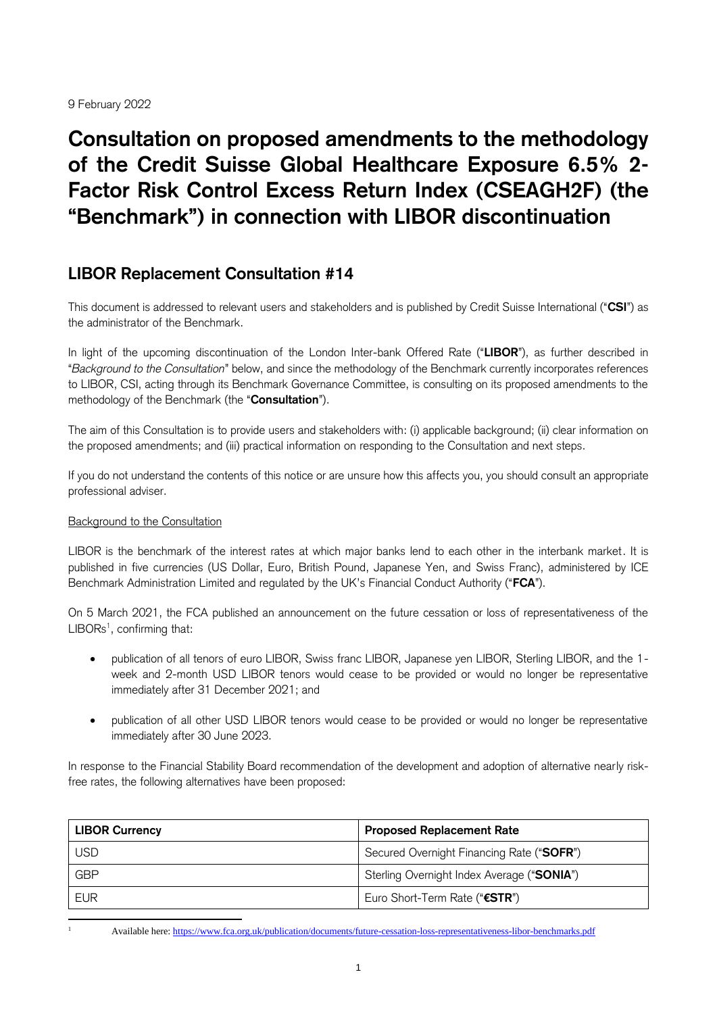9 February 2022

# **Consultation on proposed amendments to the methodology of the Credit Suisse Global Healthcare Exposure 6.5% 2- Factor Risk Control Excess Return Index (CSEAGH2F) (the "Benchmark") in connection with LIBOR discontinuation**

# **LIBOR Replacement Consultation #14**

This document is addressed to relevant users and stakeholders and is published by Credit Suisse International ("**CSI**") as the administrator of the Benchmark.

In light of the upcoming discontinuation of the London Inter-bank Offered Rate ("**LIBOR**"), as further described in "*Background to the Consultation*" below, and since the methodology of the Benchmark currently incorporates references to LIBOR, CSI, acting through its Benchmark Governance Committee, is consulting on its proposed amendments to the methodology of the Benchmark (the "**Consultation**").

The aim of this Consultation is to provide users and stakeholders with: (i) applicable background; (ii) clear information on the proposed amendments; and (iii) practical information on responding to the Consultation and next steps.

If you do not understand the contents of this notice or are unsure how this affects you, you should consult an appropriate professional adviser.

### Background to the Consultation

LIBOR is the benchmark of the interest rates at which major banks lend to each other in the interbank market. It is published in five currencies (US Dollar, Euro, British Pound, Japanese Yen, and Swiss Franc), administered by ICE Benchmark Administration Limited and regulated by the UK's Financial Conduct Authority ("**FCA**").

On 5 March 2021, the FCA published an announcement on the future cessation or loss of representativeness of the  $LIBORS<sup>1</sup>$ , confirming that:

- publication of all tenors of euro LIBOR, Swiss franc LIBOR, Japanese yen LIBOR, Sterling LIBOR, and the 1 week and 2-month USD LIBOR tenors would cease to be provided or would no longer be representative immediately after 31 December 2021; and
- publication of all other USD LIBOR tenors would cease to be provided or would no longer be representative immediately after 30 June 2023.

In response to the Financial Stability Board recommendation of the development and adoption of alternative nearly riskfree rates, the following alternatives have been proposed:

| <b>LIBOR Currency</b> | <b>Proposed Replacement Rate</b>           |  |  |
|-----------------------|--------------------------------------------|--|--|
| <b>USD</b>            | Secured Overnight Financing Rate ("SOFR")  |  |  |
| <b>GBP</b>            | Sterling Overnight Index Average ("SONIA") |  |  |
| <b>EUR</b>            | Euro Short-Term Rate ("€STR")              |  |  |

<sup>-</sup>

<sup>1</sup> Available here:<https://www.fca.org.uk/publication/documents/future-cessation-loss-representativeness-libor-benchmarks.pdf>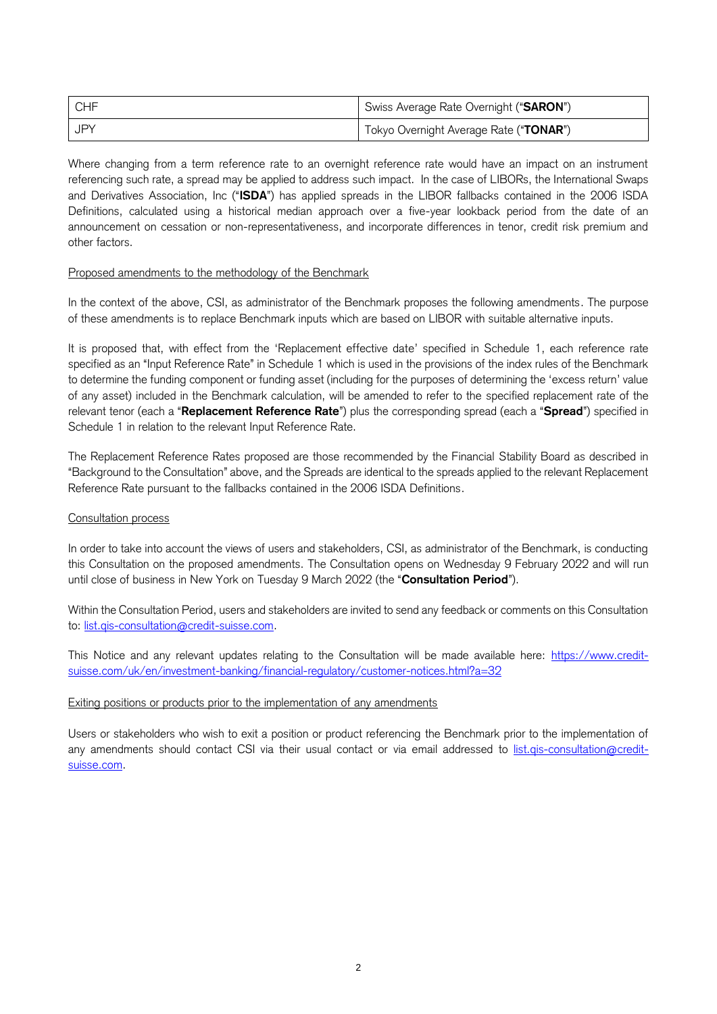| CHF | Swiss Average Rate Overnight ("SARON") |
|-----|----------------------------------------|
| JPY | Tokyo Overnight Average Rate ("TONAR") |

Where changing from a term reference rate to an overnight reference rate would have an impact on an instrument referencing such rate, a spread may be applied to address such impact. In the case of LIBORs, the International Swaps and Derivatives Association, Inc ("**ISDA**") has applied spreads in the LIBOR fallbacks contained in the 2006 ISDA Definitions, calculated using a historical median approach over a five-year lookback period from the date of an announcement on cessation or non-representativeness, and incorporate differences in tenor, credit risk premium and other factors.

#### Proposed amendments to the methodology of the Benchmark

In the context of the above, CSI, as administrator of the Benchmark proposes the following amendments. The purpose of these amendments is to replace Benchmark inputs which are based on LIBOR with suitable alternative inputs.

It is proposed that, with effect from the 'Replacement effective date' specified in Schedule 1, each reference rate specified as an "Input Reference Rate" in Schedule 1 which is used in the provisions of the index rules of the Benchmark to determine the funding component or funding asset (including for the purposes of determining the 'excess return' value of any asset) included in the Benchmark calculation, will be amended to refer to the specified replacement rate of the relevant tenor (each a "**Replacement Reference Rate**") plus the corresponding spread (each a "**Spread**") specified in Schedule 1 in relation to the relevant Input Reference Rate.

The Replacement Reference Rates proposed are those recommended by the Financial Stability Board as described in "Background to the Consultation" above, and the Spreads are identical to the spreads applied to the relevant Replacement Reference Rate pursuant to the fallbacks contained in the 2006 ISDA Definitions.

#### Consultation process

In order to take into account the views of users and stakeholders, CSI, as administrator of the Benchmark, is conducting this Consultation on the proposed amendments. The Consultation opens on Wednesday 9 February 2022 and will run until close of business in New York on Tuesday 9 March 2022 (the "**Consultation Period**").

Within the Consultation Period, users and stakeholders are invited to send any feedback or comments on this Consultation to: list.qis-consultation@credit-suisse.com.

This Notice and any relevant updates relating to the Consultation will be made available here: [https://www.credit](https://www.credit-suisse.com/uk/en/investment-banking/financial-regulatory/customer-notices.html?a=32)[suisse.com/uk/en/investment-banking/financial-regulatory/customer-notices.html?a=32](https://www.credit-suisse.com/uk/en/investment-banking/financial-regulatory/customer-notices.html?a=32)

#### Exiting positions or products prior to the implementation of any amendments

Users or stakeholders who wish to exit a position or product referencing the Benchmark prior to the implementation of any amendments should contact CSI via their usual contact or via email addressed to [list.qis-consultation@credit](mailto:list.qis-consultation@credit-suisse.com)[suisse.com.](mailto:list.qis-consultation@credit-suisse.com)